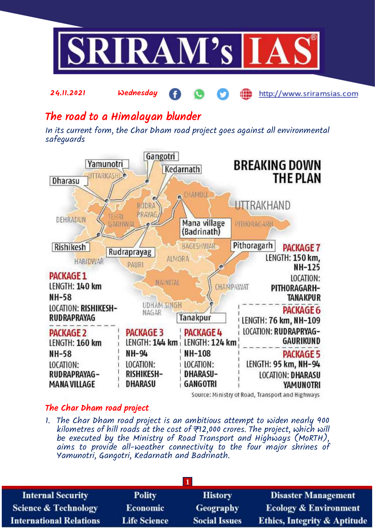

æ

http://www.sriramsias.com

# The road to a Himalayan blunder

24.11.2021 Wednesday

In its current form, the Char Dham road project goes against all environmental safeguards



### Source: Ministry of Road, Transport and Highways

# The Char Dham road project

1. The Char Dham road project is an ambitious attempt to widen nearly 900 kilometres of hill roads at the cost of  $\overline{\tau}$ 12,000 crores. The project, which will be executed by the Ministry of Road Transport and Highways (MoRTH), aims to provide all-weather connectivity to the four major shrines of Yamunotri, Gangotri, Kedarnath and Badrinath.

| <b>Internal Security</b>        | <b>Polity</b>       | <b>History</b>       | <b>Disaster Management</b>              |
|---------------------------------|---------------------|----------------------|-----------------------------------------|
| <b>Science &amp; Technology</b> | <b>Economic</b>     | <b>Geography</b>     | <b>Ecology &amp; Environment</b>        |
| <b>International Relations</b>  | <b>Life Science</b> | <b>Social Issues</b> | <b>Ethics, Integrity &amp; Aptitude</b> |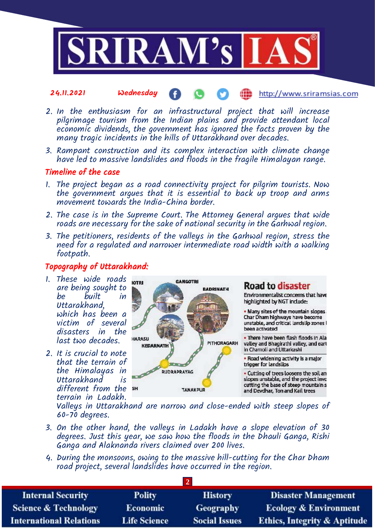

- 24.11.2021 Wednesday http://www.sriramsias.com
- 2. In the enthusiasm for an infrastructural project that will increase pilgrimage tourism from the Indian plains and provide attendant local economic dividends, the government has ignored the facts proven by the many tragic incidents in the hills of Uttarakhand over decades.
- 3. Rampant construction and its complex interaction with climate change have led to massive landslides and floods in the fragile Himalayan range.

## Timeline of the case

- 1. The project began as a road connectivity project for pilgrim tourists. Now the government argues that it is essential to back up troop and arms movement towards the India-China border.
- 2. The case is in the Supreme Court. The Attorney General argues that wide roads are necessary for the sake of national security in the Garhwal region.
- 3. The petitioners, residents of the valleys in the Garhwal region, stress the need for a regulated and narrower intermediate road width with a walking footpath.

# Topography of Uttarakhand:

- 1. These wide roads are being sought to be built in Uttarakhand, which has been a victim of several disasters in the last two decades.
- 2. It is crucial to note that the terrain of the Himalayas in Uttarakhand is different from the terrain in Ladakh.



# **Road to disaster**

Environmentalist concerns that have highlighted by NGT include:

. Many sites of the mountain slopes. Char Dham highways have become unstable, and critical landslip zones I been activated

. There have been flash floods in Ala valley and Bhagirathi valley, and eart in Chamoli and Uttarkashi

. Road widening activity is a major trigger for landslips

- Cutting of trees loosens the soil an slopes unstable, and the project invo cutting the base of steep mountain s and Devdhar, Ton and Kail trees

Valleys in Uttarakhand are narrow and close-ended with steep slopes of 60-70 degrees.

- 3. On the other hand, the valleys in Ladakh have a slope elevation of 30 degrees. Just this year, we saw how the floods in the Dhauli Ganga, Rishi Ganga and Alaknanda rivers claimed over 200 lives.
- 4. During the monsoons, owing to the massive hill-cutting for the Char Dham road project, several landslides have occurred in the region.

| <b>Internal Security</b>        | <b>Polity</b>       | <b>History</b>       | <b>Disaster Management</b>              |
|---------------------------------|---------------------|----------------------|-----------------------------------------|
| <b>Science &amp; Technology</b> | <b>Economic</b>     | <b>Geography</b>     | <b>Ecology &amp; Environment</b>        |
| <b>International Relations</b>  | <b>Life Science</b> | <b>Social Issues</b> | <b>Ethics, Integrity &amp; Aptitude</b> |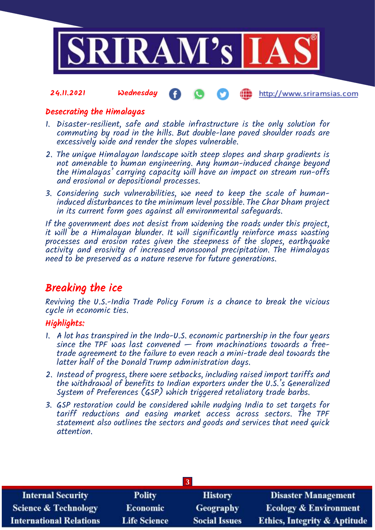

#### 24.11.2021 Wednesday http://www.sriramsias.com

## Desecrating the Himalayas

- 1. Disaster-resilient, safe and stable infrastructure is the only solution for commuting by road in the hills. But double-lane paved shoulder roads are excessively wide and render the slopes vulnerable.
- 2. The unique Himalayan landscape with steep slopes and sharp gradients is not amenable to human engineering. Any human-induced change beyond the Himalayas' carrying capacity will have an impact on stream run-offs and erosional or depositional processes.
- 3. Considering such vulnerabilities, we need to keep the scale of humaninduced disturbances to the minimum level possible. The Char Dham project in its current form goes against all environmental safeguards.

If the government does not desist from widening the roads under this project, it will be a Himalayan blunder. It will significantly reinforce mass wasting processes and erosion rates given the steepness of the slopes, earthquake activity and erosivity of increased monsoonal precipitation. The Himalayas need to be preserved as a nature reserve for future generations.

# Breaking the ice

Reviving the U.S.-India Trade Policy Forum is a chance to break the vicious cycle in economic ties.

# Highlights:

- 1. A lot has transpired in the Indo-U.S. economic partnership in the four years since the TPF was last convened  $-$  from machinations towards a freetrade agreement to the failure to even reach a mini-trade deal towards the latter half of the Donald Trump administration days.
- 2. Instead of progress, there were setbacks, including raised import tariffs and the withdrawal of benefits to Indian exporters under the U.S.'s Generalized System of Preferences (GSP) which triggered retaliatory trade barbs.
- 3. GSP restoration could be considered while nudging India to set targets for tariff reductions and easing market access across sectors. The TPF statement also outlines the sectors and goods and services that need quick attention.

| <b>Internal Security</b>        | <b>Polity</b>       | <b>History</b>       | <b>Disaster Management</b>              |
|---------------------------------|---------------------|----------------------|-----------------------------------------|
| <b>Science &amp; Technology</b> | <b>Economic</b>     | Geography            | <b>Ecology &amp; Environment</b>        |
| <b>International Relations</b>  | <b>Life Science</b> | <b>Social Issues</b> | <b>Ethics, Integrity &amp; Aptitude</b> |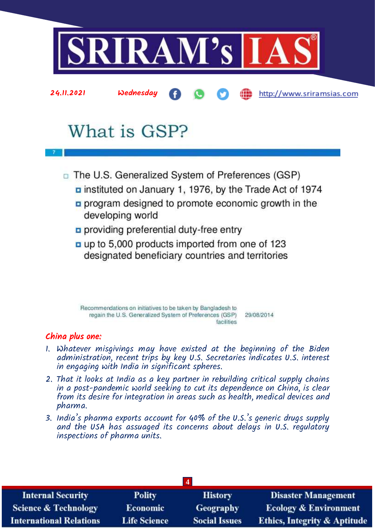

# What is GSP?

- $\Box$  The U.S. Generalized System of Preferences (GSP)
	- **p** instituted on January 1, 1976, by the Trade Act of 1974
	- program designed to promote economic growth in the developing world
	- providing preferential duty-free entry
	- a up to 5,000 products imported from one of 123 designated beneficiary countries and territories

Recommendations on initiatives to be taken by Bangladesh to regain the U.S. Generalized System of Preferences (GSP) 29/08/2014 facilities

# China plus one:

- 1. Whatever misgivings may have existed at the beginning of the Biden administration, recent trips by key U.S. Secretaries indicates U.S. interest in engaging with India in significant spheres.
- 2. That it looks at India as a key partner in rebuilding critical supply chains in a post-pandemic world seeking to cut its dependence on China, is clear from its desire for integration in areas such as health, medical devices and pharma.
- 3. India's pharma exports account for 40% of the U.S.'s generic drugs supply and the USA has assuaged its concerns about delays in U.S. regulatory inspections of pharma units.

| <b>Internal Security</b>        | <b>Polity</b>       | <b>History</b>       | <b>Disaster Management</b>              |
|---------------------------------|---------------------|----------------------|-----------------------------------------|
| <b>Science &amp; Technology</b> | <b>Economic</b>     | <b>Geography</b>     | <b>Ecology &amp; Environment</b>        |
| <b>International Relations</b>  | <b>Life Science</b> | <b>Social Issues</b> | <b>Ethics, Integrity &amp; Aptitude</b> |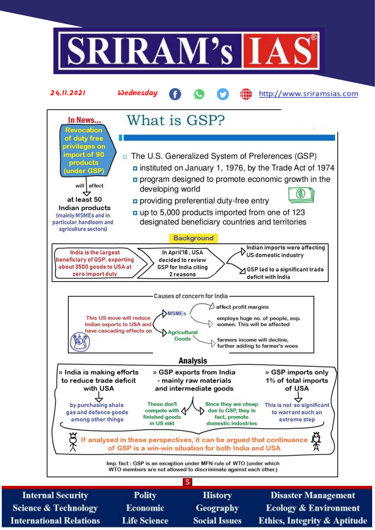

**Science & Technology International Relations** 

- Economic **Life Science**
- **Geography Social Issues**

**Ecology & Environment Ethics, Integrity & Aptitude**